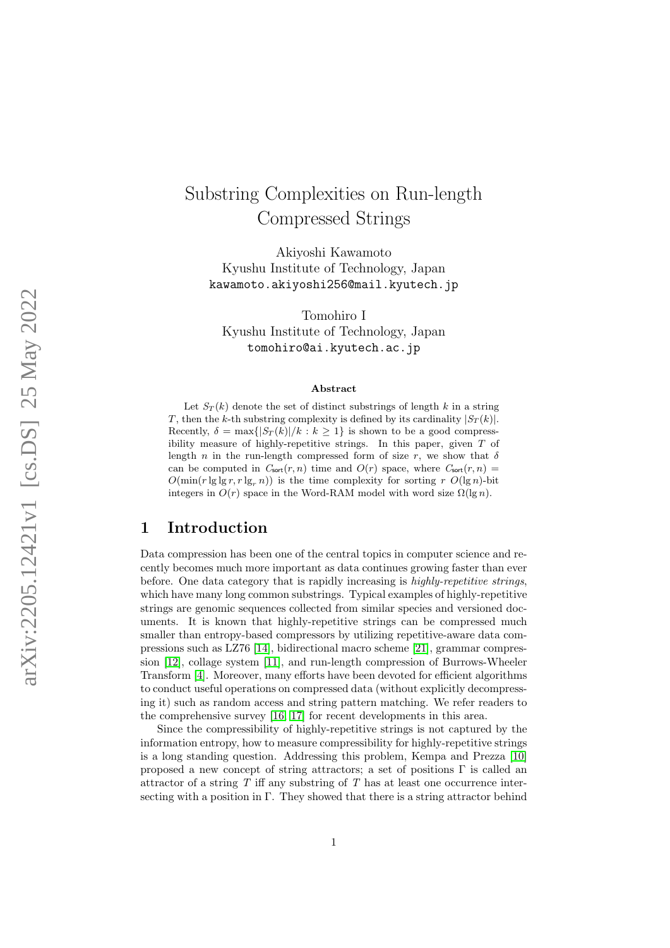# Substring Complexities on Run-length Compressed Strings

Akiyoshi Kawamoto Kyushu Institute of Technology, Japan kawamoto.akiyoshi256@mail.kyutech.jp

Tomohiro I Kyushu Institute of Technology, Japan tomohiro@ai.kyutech.ac.jp

#### Abstract

Let  $S_T(k)$  denote the set of distinct substrings of length k in a string T, then the k-th substring complexity is defined by its cardinality  $|S_T(k)|$ . Recently,  $\delta = \max\{|S_T(k)|/k : k \geq 1\}$  is shown to be a good compressibility measure of highly-repetitive strings. In this paper, given T of length n in the run-length compressed form of size r, we show that  $\delta$ can be computed in  $C_{\text{sort}}(r, n)$  time and  $O(r)$  space, where  $C_{\text{sort}}(r, n)$  =  $O(\min(r \lg \lg r, r \lg_r n))$  is the time complexity for sorting r  $O(\lg n)$ -bit integers in  $O(r)$  space in the Word-RAM model with word size  $\Omega(\lg n)$ .

## 1 Introduction

Data compression has been one of the central topics in computer science and recently becomes much more important as data continues growing faster than ever before. One data category that is rapidly increasing is highly-repetitive strings, which have many long common substrings. Typical examples of highly-repetitive strings are genomic sequences collected from similar species and versioned documents. It is known that highly-repetitive strings can be compressed much smaller than entropy-based compressors by utilizing repetitive-aware data compressions such as LZ76 [\[14\]](#page-10-0), bidirectional macro scheme [\[21\]](#page-11-0), grammar compression [\[12\]](#page-10-1), collage system [\[11\]](#page-10-2), and run-length compression of Burrows-Wheeler Transform [\[4\]](#page-10-3). Moreover, many efforts have been devoted for efficient algorithms to conduct useful operations on compressed data (without explicitly decompressing it) such as random access and string pattern matching. We refer readers to the comprehensive survey [\[16,](#page-11-1) [17\]](#page-11-2) for recent developments in this area.

Since the compressibility of highly-repetitive strings is not captured by the information entropy, how to measure compressibility for highly-repetitive strings is a long standing question. Addressing this problem, Kempa and Prezza [\[10\]](#page-10-4) proposed a new concept of string attractors; a set of positions  $\Gamma$  is called an attractor of a string  $T$  iff any substring of  $T$  has at least one occurrence intersecting with a position in Γ. They showed that there is a string attractor behind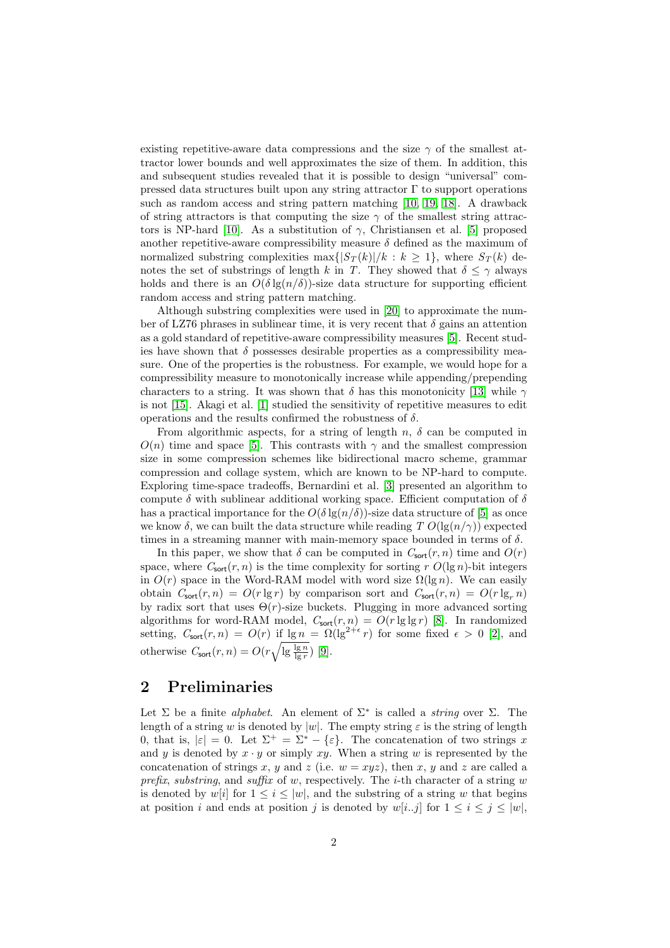existing repetitive-aware data compressions and the size  $\gamma$  of the smallest attractor lower bounds and well approximates the size of them. In addition, this and subsequent studies revealed that it is possible to design "universal" compressed data structures built upon any string attractor  $\Gamma$  to support operations such as random access and string pattern matching [\[10,](#page-10-4) [19,](#page-11-3) [18\]](#page-11-4). A drawback of string attractors is that computing the size  $\gamma$  of the smallest string attrac-tors is NP-hard [\[10\]](#page-10-4). As a substitution of  $\gamma$ , Christiansen et al. [\[5\]](#page-10-5) proposed another repetitive-aware compressibility measure  $\delta$  defined as the maximum of normalized substring complexities max $\{|S_T(k)|/k : k \geq 1\}$ , where  $S_T(k)$  denotes the set of substrings of length k in T. They showed that  $\delta \leq \gamma$  always holds and there is an  $O(\delta \lg(n/\delta))$ -size data structure for supporting efficient random access and string pattern matching.

Although substring complexities were used in [\[20\]](#page-11-5) to approximate the number of LZ76 phrases in sublinear time, it is very recent that  $\delta$  gains an attention as a gold standard of repetitive-aware compressibility measures [\[5\]](#page-10-5). Recent studies have shown that  $\delta$  possesses desirable properties as a compressibility measure. One of the properties is the robustness. For example, we would hope for a compressibility measure to monotonically increase while appending/prepending characters to a string. It was shown that  $\delta$  has this monotonicity [\[13\]](#page-10-6) while  $\gamma$ is not [\[15\]](#page-11-6). Akagi et al. [\[1\]](#page-10-7) studied the sensitivity of repetitive measures to edit operations and the results confirmed the robustness of  $\delta$ .

From algorithmic aspects, for a string of length  $n$ ,  $\delta$  can be computed in  $O(n)$  time and space [\[5\]](#page-10-5). This contrasts with  $\gamma$  and the smallest compression size in some compression schemes like bidirectional macro scheme, grammar compression and collage system, which are known to be NP-hard to compute. Exploring time-space tradeoffs, Bernardini et al. [\[3\]](#page-10-8) presented an algorithm to compute  $\delta$  with sublinear additional working space. Efficient computation of  $\delta$ has a practical importance for the  $O(\delta \lg(n/\delta))$ -size data structure of [\[5\]](#page-10-5) as once we know  $\delta$ , we can built the data structure while reading T  $O(\lg(n/\gamma))$  expected times in a streaming manner with main-memory space bounded in terms of  $\delta$ .

In this paper, we show that  $\delta$  can be computed in  $C_{\text{sort}}(r, n)$  time and  $O(r)$ space, where  $C_{\text{sort}}(r, n)$  is the time complexity for sorting r  $O(\lg n)$ -bit integers in  $O(r)$  space in the Word-RAM model with word size  $\Omega(\lg n)$ . We can easily obtain  $C_{\text{sort}}(r, n) = O(r \lg r)$  by comparison sort and  $C_{\text{sort}}(r, n) = O(r \lg r)$ by radix sort that uses  $\Theta(r)$ -size buckets. Plugging in more advanced sorting algorithms for word-RAM model,  $C_{\text{sort}}(r, n) = O(r \lg \lg r)$  [\[8\]](#page-10-9). In randomized setting,  $C_{\text{sort}}(r, n) = O(r)$  if  $\lg n = \Omega(\lg^{2+\epsilon} r)$  for some fixed  $\epsilon > 0$  [\[2\]](#page-10-10), and otherwise  $C_{\text{sort}}(r, n) = O(r \sqrt{\lg \frac{\lg n}{\lg r}})$  [\[9\]](#page-10-11).

# 2 Preliminaries

Let  $\Sigma$  be a finite *alphabet*. An element of  $\Sigma^*$  is called a *string* over  $\Sigma$ . The length of a string w is denoted by  $|w|$ . The empty string  $\varepsilon$  is the string of length 0, that is,  $|\varepsilon| = 0$ . Let  $\Sigma^+ = \Sigma^* - {\varepsilon}$ . The concatenation of two strings x and y is denoted by  $x \cdot y$  or simply  $xy$ . When a string w is represented by the concatenation of strings x, y and z (i.e.  $w = xyz$ ), then x, y and z are called a prefix, substring, and suffix of w, respectively. The *i*-th character of a string w is denoted by w[i] for  $1 \leq i \leq |w|$ , and the substring of a string w that begins at position i and ends at position j is denoted by  $w[i..j]$  for  $1 \le i \le j \le |w|$ ,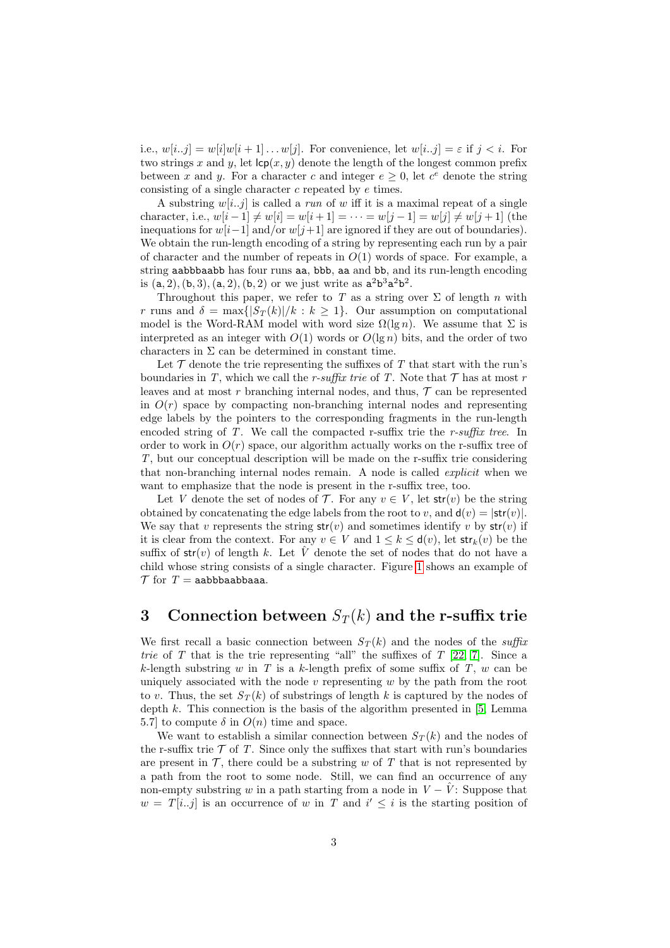i.e.,  $w[i..j] = w[i]w[i+1] \dots w[j]$ . For convenience, let  $w[i..j] = \varepsilon$  if  $j < i$ . For two strings x and y, let  $\mathsf{lcp}(x, y)$  denote the length of the longest common prefix between x and y. For a character c and integer  $e \geq 0$ , let  $c^e$  denote the string consisting of a single character c repeated by e times.

A substring  $w[i..j]$  is called a *run* of w iff it is a maximal repeat of a single character, i.e.,  $w[i-1] \neq w[i] = w[i+1] = \cdots = w[j-1] = w[j] \neq w[j+1]$  (the inequations for  $w[i-1]$  and/or  $w[i+1]$  are ignored if they are out of boundaries). We obtain the run-length encoding of a string by representing each run by a pair of character and the number of repeats in  $O(1)$  words of space. For example, a string aabbbaabb has four runs aa, bbb, aa and bb, and its run-length encoding is  $(a, 2), (b, 3), (a, 2), (b, 2)$  or we just write as  $a<sup>2</sup>b<sup>3</sup>a<sup>2</sup>b<sup>2</sup>$ .

Throughout this paper, we refer to T as a string over  $\Sigma$  of length n with r runs and  $\delta = \max\{|S_T(k)|/k : k \geq 1\}$ . Our assumption on computational model is the Word-RAM model with word size  $\Omega(\lg n)$ . We assume that  $\Sigma$  is interpreted as an integer with  $O(1)$  words or  $O(\lg n)$  bits, and the order of two characters in  $\Sigma$  can be determined in constant time.

Let  $\mathcal T$  denote the trie representing the suffixes of  $T$  that start with the run's boundaries in T, which we call the r-suffix trie of T. Note that  $\mathcal T$  has at most r leaves and at most r branching internal nodes, and thus,  $\mathcal T$  can be represented in  $O(r)$  space by compacting non-branching internal nodes and representing edge labels by the pointers to the corresponding fragments in the run-length encoded string of T. We call the compacted r-suffix trie the r-suffix tree. In order to work in  $O(r)$  space, our algorithm actually works on the r-suffix tree of T, but our conceptual description will be made on the r-suffix trie considering that non-branching internal nodes remain. A node is called *explicit* when we want to emphasize that the node is present in the r-suffix tree, too.

Let V denote the set of nodes of  $\mathcal{T}$ . For any  $v \in V$ , let  $str(v)$  be the string obtained by concatenating the edge labels from the root to v, and  $\mathsf{d}(v) = |\mathsf{str}(v)|$ . We say that v represents the string  $str(v)$  and sometimes identify v by  $str(v)$  if it is clear from the context. For any  $v \in V$  and  $1 \leq k \leq d(v)$ , let  $str_k(v)$  be the suffix of  $str(v)$  of length k. Let V denote the set of nodes that do not have a child whose string consists of a single character. Figure [1](#page-3-0) shows an example of  $\mathcal T$  for  $T =$  aabbbaabbaaa.

# <span id="page-2-0"></span>3 Connection between  $S_T(k)$  and the r-suffix trie

We first recall a basic connection between  $S_T(k)$  and the nodes of the suffix trie of T that is the trie representing "all" the suffixes of  $T$  [\[22,](#page-11-7) [7\]](#page-10-12). Since a k-length substring w in T is a k-length prefix of some suffix of T, w can be uniquely associated with the node  $v$  representing  $w$  by the path from the root to v. Thus, the set  $S_T(k)$  of substrings of length k is captured by the nodes of depth  $k$ . This connection is the basis of the algorithm presented in  $[5, \text{Lemma}]$ 5.7] to compute  $\delta$  in  $O(n)$  time and space.

We want to establish a similar connection between  $S_T(k)$  and the nodes of the r-suffix trie  $\mathcal T$  of T. Since only the suffixes that start with run's boundaries are present in  $\mathcal{T}$ , there could be a substring w of T that is not represented by a path from the root to some node. Still, we can find an occurrence of any non-empty substring w in a path starting from a node in  $V - \hat{V}$ : Suppose that  $w = T[i..j]$  is an occurrence of w in T and  $i' \leq i$  is the starting position of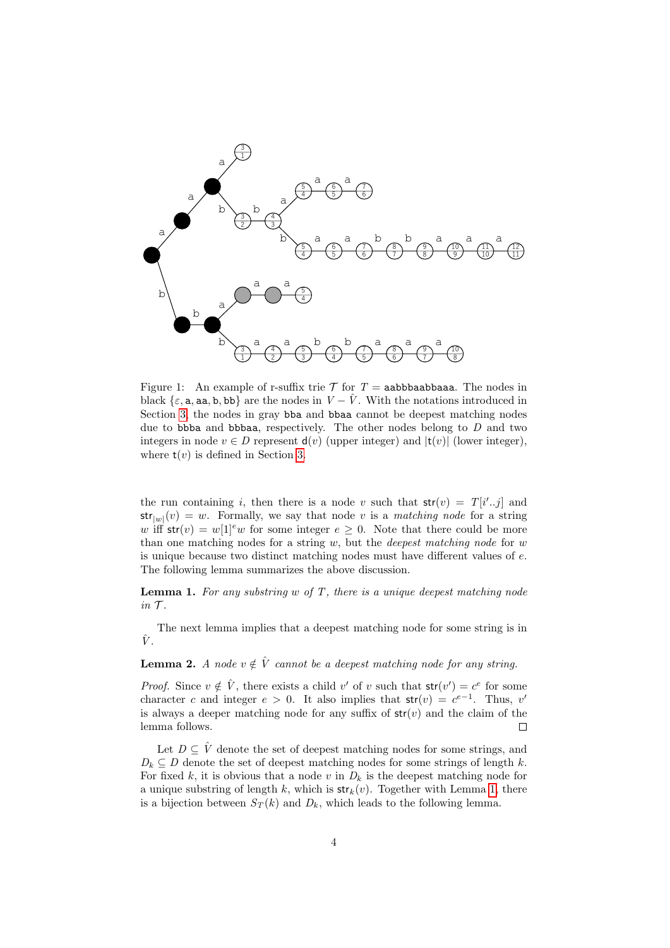

<span id="page-3-0"></span>Figure 1: An example of r-suffix trie  $\mathcal T$  for  $T =$  aabbbaabbaaa. The nodes in black  $\{\varepsilon, a, aa, b, bb\}$  are the nodes in  $V - \hat{V}$ . With the notations introduced in Section [3,](#page-2-0) the nodes in gray both and both cannot be deepest matching nodes due to bbba and bbbaa, respectively. The other nodes belong to  $D$  and two integers in node  $v \in D$  represent  $d(v)$  (upper integer) and  $|t(v)|$  (lower integer), where  $t(v)$  is defined in Section [3.](#page-2-0)

the run containing i, then there is a node v such that  $str(v) = T[i'..j]$  and  $str_{|w|}(v) = w$ . Formally, we say that node v is a matching node for a string w iff  $str(v) = w[1]^e w$  for some integer  $e \geq 0$ . Note that there could be more than one matching nodes for a string  $w$ , but the *deepest matching node* for  $w$ is unique because two distinct matching nodes must have different values of e. The following lemma summarizes the above discussion.

<span id="page-3-1"></span>**Lemma 1.** For any substring  $w$  of  $T$ , there is a unique deepest matching node  $in \mathcal{T}$ .

The next lemma implies that a deepest matching node for some string is in  $\hat{V}$ .

**Lemma 2.** A node  $v \notin \hat{V}$  cannot be a deepest matching node for any string.

*Proof.* Since  $v \notin \hat{V}$ , there exists a child v' of v such that  $str(v') = c^e$  for some character c and integer  $e > 0$ . It also implies that  $str(v) = c^{e-1}$ . Thus, v' is always a deeper matching node for any suffix of  $str(v)$  and the claim of the lemma follows.  $\Box$ 

Let  $D \subseteq \hat{V}$  denote the set of deepest matching nodes for some strings, and  $D_k \subseteq D$  denote the set of deepest matching nodes for some strings of length k. For fixed k, it is obvious that a node v in  $D_k$  is the deepest matching node for a unique substring of length k, which is  $str_k(v)$ . Together with Lemma [1,](#page-3-1) there is a bijection between  $S_T(k)$  and  $D_k$ , which leads to the following lemma.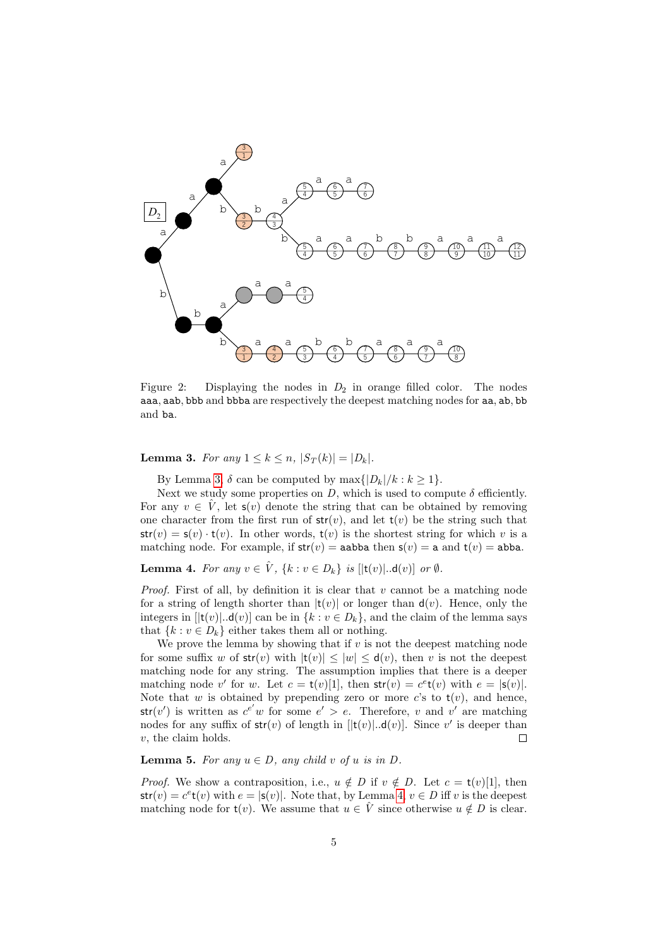

Figure 2: Displaying the nodes in  $D_2$  in orange filled color. The nodes aaa, aab, bbb and bbba are respectively the deepest matching nodes for aa, ab, bb and ba.

<span id="page-4-0"></span>**Lemma 3.** For any  $1 \leq k \leq n$ ,  $|S_T(k)| = |D_k|$ .

By Lemma [3,](#page-4-0)  $\delta$  can be computed by max $\{|D_k|/k : k \geq 1\}.$ 

Next we study some properties on D, which is used to compute  $\delta$  efficiently. For any  $v \in V$ , let  $s(v)$  denote the string that can be obtained by removing one character from the first run of  $str(v)$ , and let  $t(v)$  be the string such that  $str(v) = s(v) \cdot t(v)$ . In other words,  $t(v)$  is the shortest string for which v is a matching node. For example, if  $str(v) = a$ abba then  $s(v) = a$  and  $t(v) = ab$ ba.

<span id="page-4-1"></span>**Lemma 4.** For any  $v \in \hat{V}$ ,  $\{k : v \in D_k\}$  is  $[|{\bf t}(v)|...{\bf d}(v)]$  or  $\emptyset$ .

*Proof.* First of all, by definition it is clear that  $v$  cannot be a matching node for a string of length shorter than  $|t(v)|$  or longer than  $d(v)$ . Hence, only the integers in  $[|{\bf t}(v)|...{\bf d}(v)]$  can be in  $\{k : v \in D_k\}$ , and the claim of the lemma says that  $\{k : v \in D_k\}$  either takes them all or nothing.

We prove the lemma by showing that if  $v$  is not the deepest matching node for some suffix w of  $str(v)$  with  $|t(v)| \leq |w| \leq d(v)$ , then v is not the deepest matching node for any string. The assumption implies that there is a deeper matching node v' for w. Let  $c = \mathsf{t}(v)[1]$ , then  $\mathsf{str}(v) = c^e \mathsf{t}(v)$  with  $e = |\mathsf{s}(v)|$ . Note that w is obtained by prepending zero or more c's to  $t(v)$ , and hence,  $str(v')$  is written as  $c^{e'}w$  for some  $e' > e$ . Therefore, v and v' are matching nodes for any suffix of  $str(v)$  of length in  $[|t(v)|...d(v)]$ . Since v' is deeper than v, the claim holds.  $\Box$ 

<span id="page-4-2"></span>**Lemma 5.** For any  $u \in D$ , any child v of u is in D.

*Proof.* We show a contraposition, i.e.,  $u \notin D$  if  $v \notin D$ . Let  $c = \mathsf{t}(v)[1]$ , then  $str(v) = c^{e}t(v)$  with  $e = |s(v)|$ . Note that, by Lemma [4,](#page-4-1)  $v \in D$  iff v is the deepest matching node for  $t(v)$ . We assume that  $u \in V$  since otherwise  $u \notin D$  is clear.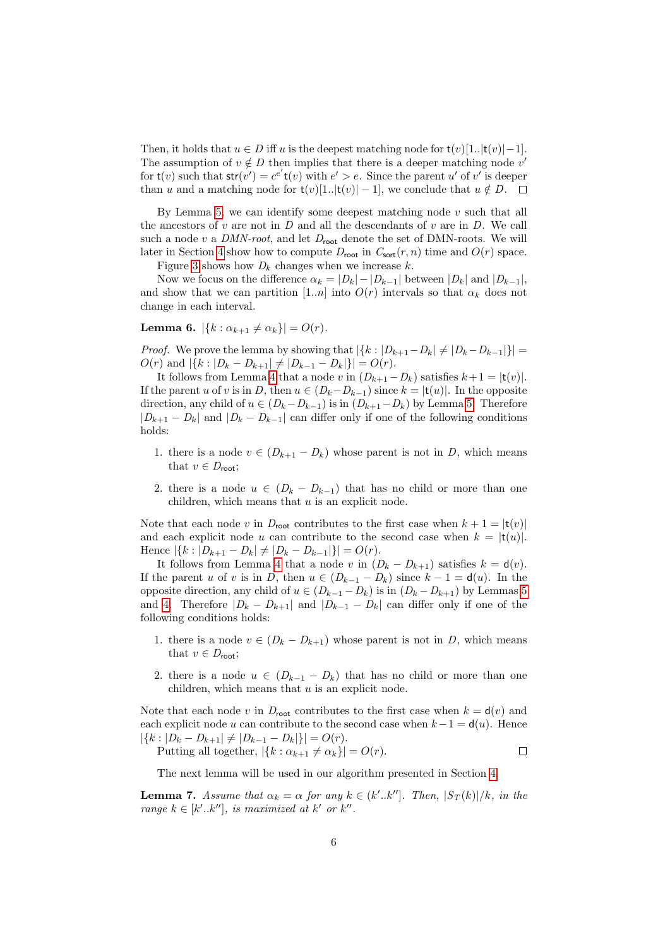Then, it holds that  $u \in D$  iff u is the deepest matching node for  $t(v)[1..|t(v)|-1]$ . The assumption of  $v \notin D$  then implies that there is a deeper matching node v' for  $t(v)$  such that  $str(v') = c^{e'}t(v)$  with  $e' > e$ . Since the parent u' of v' is deeper than u and a matching node for  $t(v)[1..|t(v)|-1]$ , we conclude that  $u \notin D$ .  $\Box$ 

By Lemma [5,](#page-4-2) we can identify some deepest matching node  $v$  such that all the ancestors of  $v$  are not in  $D$  and all the descendants of  $v$  are in  $D$ . We call such a node  $v$  a DMN-root, and let  $D_{\text{root}}$  denote the set of DMN-roots. We will later in Section [4](#page-6-0) show how to compute  $D_{\text{root}}$  in  $C_{\text{sort}}(r, n)$  time and  $O(r)$  space.

Figure [3](#page-9-0) shows how  $D_k$  changes when we increase k.

Now we focus on the difference  $\alpha_k = |D_k| - |D_{k-1}|$  between  $|D_k|$  and  $|D_{k-1}|$ , and show that we can partition [1..*n*] into  $O(r)$  intervals so that  $\alpha_k$  does not change in each interval.

<span id="page-5-1"></span>**Lemma 6.**  $|\{k : \alpha_{k+1} \neq \alpha_k\}| = O(r)$ .

*Proof.* We prove the lemma by showing that  $|\{k : |D_{k+1}-D_k| \neq |D_k-D_{k-1}|\}|$  $O(r)$  and  $|\{k : |D_k - D_{k+1}| \neq |D_{k-1} - D_k|\}| = O(r)$ .

It follows from Lemma [4](#page-4-1) that a node v in  $(D_{k+1}-D_k)$  satisfies  $k+1 = |t(v)|$ . If the parent u of v is in D, then  $u \in (D_k-D_{k-1})$  since  $k = |t(u)|$ . In the opposite direction, any child of  $u \in (D_k - D_{k-1})$  is in  $(D_{k+1} - D_k)$  by Lemma [5.](#page-4-2) Therefore  $|D_{k+1} - D_k|$  and  $|D_k - D_{k-1}|$  can differ only if one of the following conditions holds:

- 1. there is a node  $v \in (D_{k+1} D_k)$  whose parent is not in D, which means that  $v \in D_{\text{root}}$ ;
- 2. there is a node  $u \in (D_k D_{k-1})$  that has no child or more than one children, which means that  $u$  is an explicit node.

Note that each node v in  $D_{\text{root}}$  contributes to the first case when  $k + 1 = |t(v)|$ and each explicit node u can contribute to the second case when  $k = |t(u)|$ . Hence  $|\{k : |D_{k+1} - D_k| \neq |D_k - D_{k-1}|\}| = O(r)$ .

It follows from Lemma [4](#page-4-1) that a node v in  $(D_k - D_{k+1})$  satisfies  $k = d(v)$ . If the parent u of v is in D, then  $u \in (D_{k-1} - D_k)$  since  $k - 1 = d(u)$ . In the opposite direction, any child of  $u \in (D_{k-1} - D_k)$  is in  $(D_k - D_{k+1})$  by Lemmas [5](#page-4-2) and [4.](#page-4-1) Therefore  $|D_k - D_{k+1}|$  and  $|D_{k-1} - D_k|$  can differ only if one of the following conditions holds:

- 1. there is a node  $v \in (D_k D_{k+1})$  whose parent is not in D, which means that  $v \in D_{\text{root}}$ ;
- 2. there is a node  $u \in (D_{k-1} D_k)$  that has no child or more than one children, which means that  $u$  is an explicit node.

Note that each node v in  $D_{\text{root}}$  contributes to the first case when  $k = d(v)$  and each explicit node u can contribute to the second case when  $k-1 = d(u)$ . Hence  $|\{k : |D_k - D_{k+1}| \neq |D_{k-1} - D_k|\}| = O(r).$ 

Putting all together,  $|\{k : \alpha_{k+1} \neq \alpha_k\}| = O(r)$ .  $\Box$ 

The next lemma will be used in our algorithm presented in Section [4.](#page-6-0)

<span id="page-5-0"></span>**Lemma 7.** Assume that  $\alpha_k = \alpha$  for any  $k \in (k'..k'']$ . Then,  $|S_T(k)|/k$ , in the range  $k \in [k'..k'']$ , is maximized at k' or k''.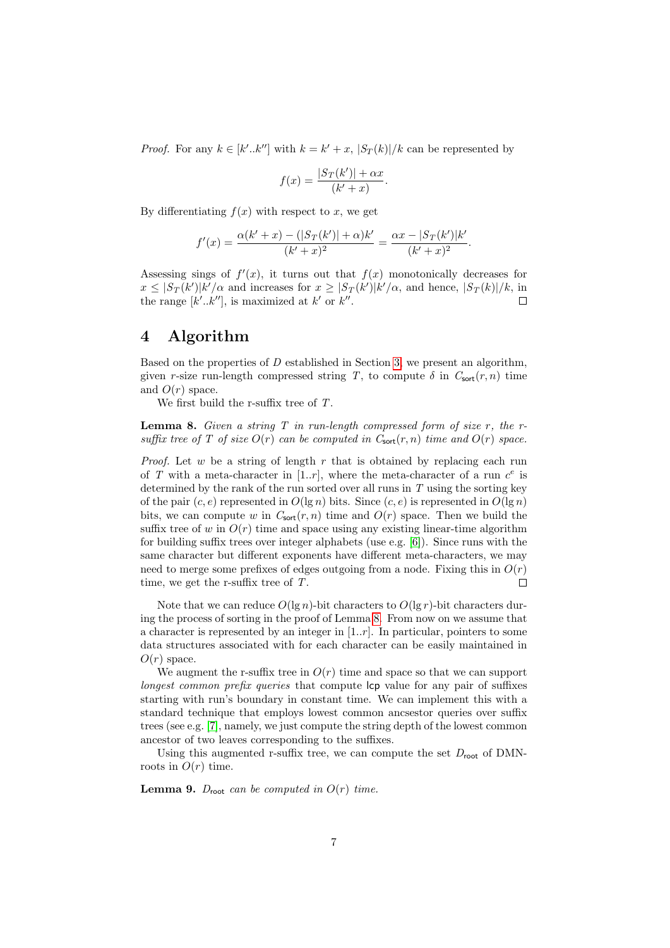*Proof.* For any  $k \in [k'..k'']$  with  $k = k' + x$ ,  $|S_T(k)|/k$  can be represented by

$$
f(x) = \frac{|S_T(k')| + \alpha x}{(k' + x)}.
$$

By differentiating  $f(x)$  with respect to x, we get

$$
f'(x) = \frac{\alpha(k' + x) - (|S_T(k')| + \alpha)k'}{(k' + x)^2} = \frac{\alpha x - |S_T(k')|k'}{(k' + x)^2}.
$$

Assessing sings of  $f'(x)$ , it turns out that  $f(x)$  monotonically decreases for  $x \leq |S_T(k')| k'/\alpha$  and increases for  $x \geq |S_T(k')| k'/\alpha$ , and hence,  $|S_T(k)|/k$ , in the range  $[k'..k'']$ , is maximized at k' or k''.

## <span id="page-6-0"></span>4 Algorithm

Based on the properties of  $D$  established in Section [3,](#page-2-0) we present an algorithm, given r-size run-length compressed string T, to compute  $\delta$  in  $C_{\text{sort}}(r, n)$  time and  $O(r)$  space.

We first build the r-suffix tree of  $T$ .

<span id="page-6-1"></span>**Lemma 8.** Given a string  $T$  in run-length compressed form of size  $r$ , the  $r$ suffix tree of T of size  $O(r)$  can be computed in  $C_{\text{sort}}(r, n)$  time and  $O(r)$  space.

*Proof.* Let  $w$  be a string of length  $r$  that is obtained by replacing each run of T with a meta-character in [1..r], where the meta-character of a run  $c^e$  is determined by the rank of the run sorted over all runs in  $T$  using the sorting key of the pair  $(c, e)$  represented in  $O(\lg n)$  bits. Since  $(c, e)$  is represented in  $O(\lg n)$ bits, we can compute w in  $C_{\text{sort}}(r, n)$  time and  $O(r)$  space. Then we build the suffix tree of w in  $O(r)$  time and space using any existing linear-time algorithm for building suffix trees over integer alphabets (use e.g. [\[6\]](#page-10-13)). Since runs with the same character but different exponents have different meta-characters, we may need to merge some prefixes of edges outgoing from a node. Fixing this in  $O(r)$ time, we get the r-suffix tree of T.  $\Box$ 

Note that we can reduce  $O(\lg n)$ -bit characters to  $O(\lg r)$ -bit characters during the process of sorting in the proof of Lemma [8.](#page-6-1) From now on we assume that a character is represented by an integer in  $[1..r]$ . In particular, pointers to some data structures associated with for each character can be easily maintained in  $O(r)$  space.

We augment the r-suffix tree in  $O(r)$  time and space so that we can support longest common prefix queries that compute lcp value for any pair of suffixes starting with run's boundary in constant time. We can implement this with a standard technique that employs lowest common ancsestor queries over suffix trees (see e.g. [\[7\]](#page-10-12), namely, we just compute the string depth of the lowest common ancestor of two leaves corresponding to the suffixes.

Using this augmented r-suffix tree, we can compute the set  $D_{\text{root}}$  of DMNroots in  $O(r)$  time.

<span id="page-6-2"></span>**Lemma 9.**  $D_{\text{root}}$  can be computed in  $O(r)$  time.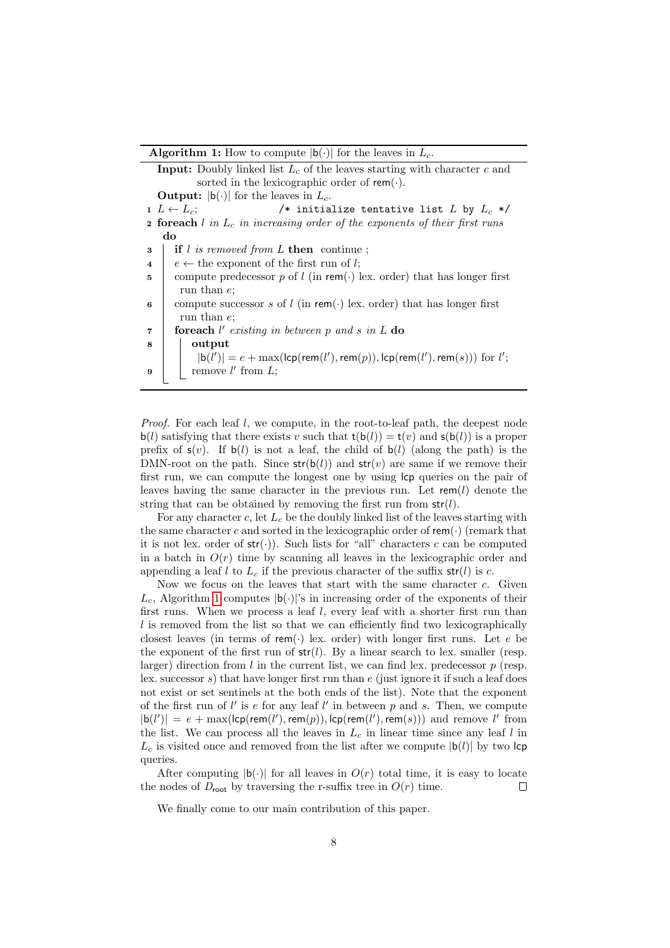**Algorithm 1:** How to compute  $|b(\cdot)|$  for the leaves in  $L_c$ .

<span id="page-7-0"></span>**Input:** Doubly linked list  $L_c$  of the leaves starting with character c and sorted in the lexicographic order of  $rem(\cdot)$ . **Output:**  $|b(\cdot)|$  for the leaves in  $L_c$ . 1  $L \leftarrow L_c$ ;  $\qquad \qquad$  /\* initialize tentative list  $L$  by  $L_c$  \*/ **2 foreach** l in  $L_c$  in increasing order of the exponents of their first runs do  $\mathbf{3}$  if l is removed from L then continue ; 4  $e \leftarrow$  the exponent of the first run of l; 5 compute predecessor p of l (in rem( $\cdot$ ) lex. order) that has longer first run than e; 6 compute successor s of l (in rem(·) lex. order) that has longer first run than e;  $\tau$  | foreach l'existing in between p and s in L do 8 | output  $|\mathsf{b}(l')|=e+\max(\mathsf{lcp}(\mathsf{rem}(l'),\mathsf{rem}(p)),\mathsf{lcp}(\mathsf{rem}(l'),\mathsf{rem}(s)))$  for  $l'$ ; **9**  $\blacksquare$  remove l' from L;

Proof. For each leaf l, we compute, in the root-to-leaf path, the deepest node  $\mathbf{b}(l)$  satisfying that there exists v such that  $\mathbf{t}(\mathbf{b}(l)) = \mathbf{t}(v)$  and  $\mathbf{s}(\mathbf{b}(l))$  is a proper prefix of  $s(v)$ . If  $b(l)$  is not a leaf, the child of  $b(l)$  (along the path) is the DMN-root on the path. Since  $str(b(l))$  and  $str(v)$  are same if we remove their first run, we can compute the longest one by using lcp queries on the pair of leaves having the same character in the previous run. Let  $rem(l)$  denote the string that can be obtained by removing the first run from  $str(l)$ .

For any character c, let  $L_c$  be the doubly linked list of the leaves starting with the same character c and sorted in the lexicographic order of  $\mathsf{rem}(\cdot)$  (remark that it is not lex. order of  $str(\cdot)$ ). Such lists for "all" characters c can be computed in a batch in  $O(r)$  time by scanning all leaves in the lexicographic order and appending a leaf l to  $L_c$  if the previous character of the suffix  $str(l)$  is c.

Now we focus on the leaves that start with the same character  $c$ . Given  $L_c$ , Algorithm [1](#page-7-0) computes  $|b(\cdot)|$ 's in increasing order of the exponents of their first runs. When we process a leaf  $l$ , every leaf with a shorter first run than  $l$  is removed from the list so that we can efficiently find two lexicographically closest leaves (in terms of rem(·) lex. order) with longer first runs. Let  $e$  be the exponent of the first run of  $str(l)$ . By a linear search to lex. smaller (resp. larger) direction from  $l$  in the current list, we can find lex. predecessor  $p$  (resp. lex. successor s) that have longer first run than  $e$  (just ignore it if such a leaf does not exist or set sentinels at the both ends of the list). Note that the exponent of the first run of  $l'$  is  $e$  for any leaf  $l'$  in between  $p$  and  $s$ . Then, we compute  $|b(l')| = e + \max(\text{lcp}(\text{rem}(l'), \text{rem}(p)), \text{lcp}(\text{rem}(l'), \text{rem}(s)))$  and remove l' from the list. We can process all the leaves in  $L_c$  in linear time since any leaf l in  $L_c$  is visited once and removed from the list after we compute  $|b(l)|$  by two lcp queries.

After computing  $|b(\cdot)|$  for all leaves in  $O(r)$  total time, it is easy to locate the nodes of  $D_{\text{root}}$  by traversing the r-suffix tree in  $O(r)$  time.  $\Box$ 

We finally come to our main contribution of this paper.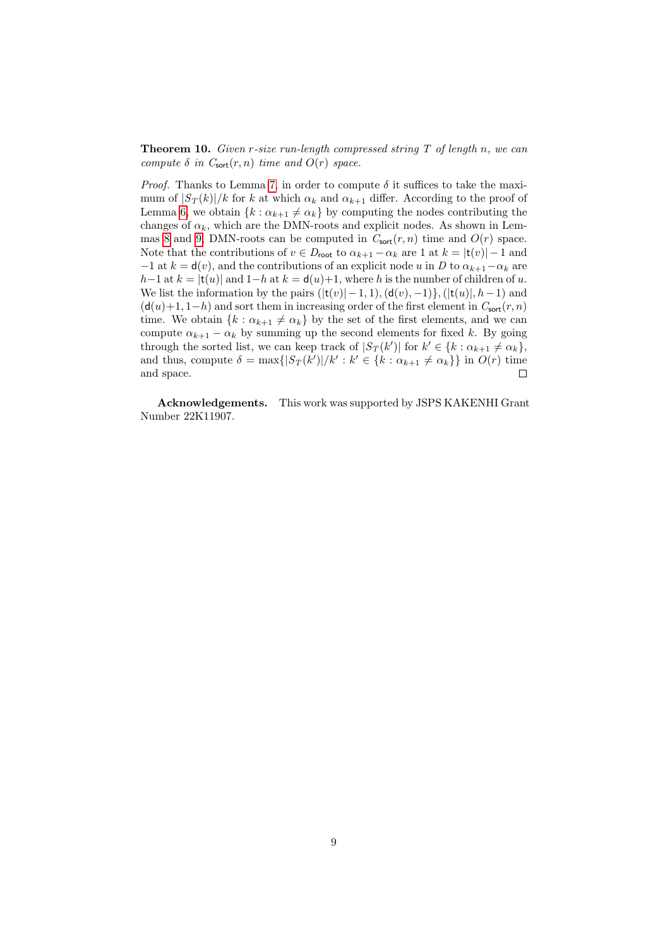**Theorem 10.** Given r-size run-length compressed string  $T$  of length n, we can compute  $\delta$  in  $C_{\text{sort}}(r, n)$  time and  $O(r)$  space.

*Proof.* Thanks to Lemma [7,](#page-5-0) in order to compute  $\delta$  it suffices to take the maximum of  $|S_T(k)|/k$  for k at which  $\alpha_k$  and  $\alpha_{k+1}$  differ. According to the proof of Lemma [6,](#page-5-1) we obtain  $\{k : \alpha_{k+1} \neq \alpha_k\}$  by computing the nodes contributing the changes of  $\alpha_k$ , which are the DMN-roots and explicit nodes. As shown in Lem-mas [8](#page-6-1) and [9,](#page-6-2) DMN-roots can be computed in  $C_{\text{sort}}(r, n)$  time and  $O(r)$  space. Note that the contributions of  $v \in D_{\text{root}}$  to  $\alpha_{k+1} - \alpha_k$  are 1 at  $k = |t(v)| - 1$  and  $-1$  at  $k = d(v)$ , and the contributions of an explicit node u in D to  $\alpha_{k+1} - \alpha_k$  are h−1 at  $k = |t(u)|$  and 1−h at  $k = d(u)+1$ , where h is the number of children of u. We list the information by the pairs  $(|t(v)| - 1, 1)$ ,  $(d(v), -1)$ ,  $(|t(u)|, h-1)$  and  $(d(u)+1, 1-h)$  and sort them in increasing order of the first element in  $C_{\text{sort}}(r, n)$ time. We obtain  $\{k : \alpha_{k+1} \neq \alpha_k\}$  by the set of the first elements, and we can compute  $\alpha_{k+1} - \alpha_k$  by summing up the second elements for fixed k. By going through the sorted list, we can keep track of  $|S_T(k')|$  for  $k' \in \{k : \alpha_{k+1} \neq \alpha_k\}$ , and thus, compute  $\delta = \max\{|S_T(k')|/k': k' \in \{k : \alpha_{k+1} \neq \alpha_k\}\}\$ in  $O(r)$  time and space.  $\Box$ 

Acknowledgements. This work was supported by JSPS KAKENHI Grant Number 22K11907.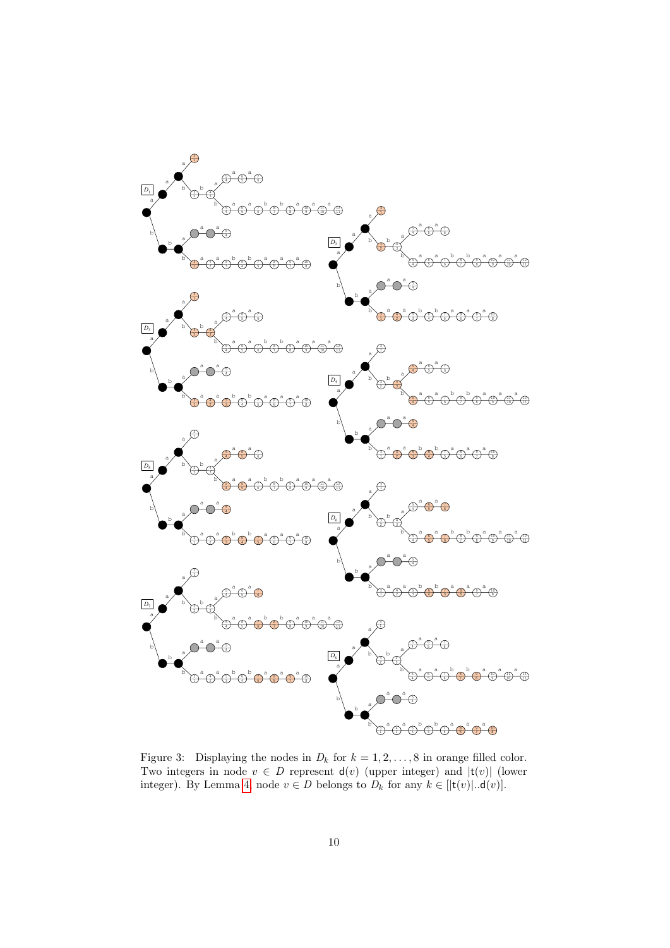

<span id="page-9-0"></span>Figure 3: Displaying the nodes in  $D_k$  for  $k = 1, 2, ..., 8$  in orange filled color. Two integers in node  $v \in D$  represent  $d(v)$  (upper integer) and  $|t(v)|$  (lower integer). By Lemma [4,](#page-4-1) node  $v \in D$  belongs to  $D_k$  for any  $k \in [\mathsf{t}(v)|..\mathsf{d}(v)]$ .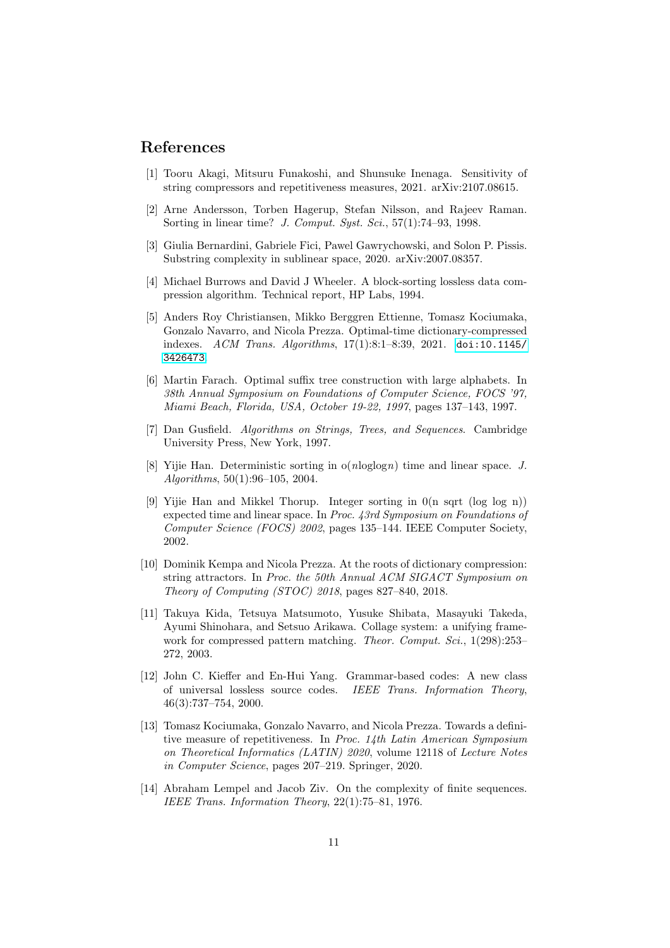## References

- <span id="page-10-7"></span>[1] Tooru Akagi, Mitsuru Funakoshi, and Shunsuke Inenaga. Sensitivity of string compressors and repetitiveness measures, 2021. arXiv:2107.08615.
- <span id="page-10-10"></span>[2] Arne Andersson, Torben Hagerup, Stefan Nilsson, and Rajeev Raman. Sorting in linear time? J. Comput. Syst. Sci., 57(1):74–93, 1998.
- <span id="page-10-8"></span>[3] Giulia Bernardini, Gabriele Fici, Pawel Gawrychowski, and Solon P. Pissis. Substring complexity in sublinear space, 2020. arXiv:2007.08357.
- <span id="page-10-3"></span>[4] Michael Burrows and David J Wheeler. A block-sorting lossless data compression algorithm. Technical report, HP Labs, 1994.
- <span id="page-10-5"></span>[5] Anders Roy Christiansen, Mikko Berggren Ettienne, Tomasz Kociumaka, Gonzalo Navarro, and Nicola Prezza. Optimal-time dictionary-compressed indexes. ACM Trans. Algorithms, 17(1):8:1–8:39, 2021. [doi:10.1145/](https://doi.org/10.1145/3426473) [3426473](https://doi.org/10.1145/3426473).
- <span id="page-10-13"></span>[6] Martin Farach. Optimal suffix tree construction with large alphabets. In 38th Annual Symposium on Foundations of Computer Science, FOCS '97, Miami Beach, Florida, USA, October 19-22, 1997, pages 137–143, 1997.
- <span id="page-10-12"></span>[7] Dan Gusfield. Algorithms on Strings, Trees, and Sequences. Cambridge University Press, New York, 1997.
- <span id="page-10-9"></span>[8] Yijie Han. Deterministic sorting in o(nloglogn) time and linear space. J. Algorithms, 50(1):96–105, 2004.
- <span id="page-10-11"></span>[9] Yijie Han and Mikkel Thorup. Integer sorting in 0(n sqrt (log log n)) expected time and linear space. In Proc. 43rd Symposium on Foundations of Computer Science (FOCS) 2002, pages 135–144. IEEE Computer Society, 2002.
- <span id="page-10-4"></span>[10] Dominik Kempa and Nicola Prezza. At the roots of dictionary compression: string attractors. In Proc. the 50th Annual ACM SIGACT Symposium on Theory of Computing (STOC) 2018, pages 827–840, 2018.
- <span id="page-10-2"></span>[11] Takuya Kida, Tetsuya Matsumoto, Yusuke Shibata, Masayuki Takeda, Ayumi Shinohara, and Setsuo Arikawa. Collage system: a unifying framework for compressed pattern matching. *Theor. Comput. Sci.*, 1(298):253– 272, 2003.
- <span id="page-10-1"></span>[12] John C. Kieffer and En-Hui Yang. Grammar-based codes: A new class of universal lossless source codes. IEEE Trans. Information Theory, 46(3):737–754, 2000.
- <span id="page-10-6"></span>[13] Tomasz Kociumaka, Gonzalo Navarro, and Nicola Prezza. Towards a definitive measure of repetitiveness. In Proc. 14th Latin American Symposium on Theoretical Informatics (LATIN) 2020, volume 12118 of Lecture Notes in Computer Science, pages 207–219. Springer, 2020.
- <span id="page-10-0"></span>[14] Abraham Lempel and Jacob Ziv. On the complexity of finite sequences. IEEE Trans. Information Theory, 22(1):75–81, 1976.